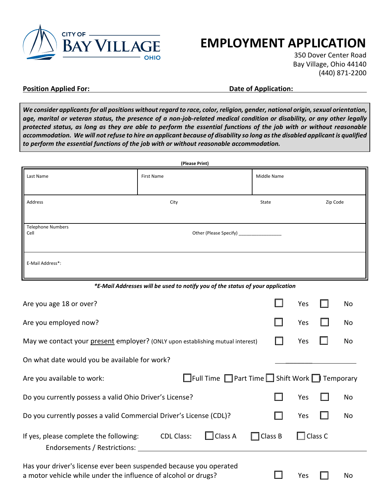

# **EMPLOYMENT APPLICATION**

350 Dover Center Road Bay Village, Ohio 44140 (440) 871-2200

#### **Position Applied For: Contract Position Application: Date of Application:**

*We consider applicants for all positions without regard to race, color, religion, gender, national origin, sexual orientation, age, marital or veteran status, the presence of a non-job-related medical condition or disability, or any other legally protected status, as long as they are able to perform the essential functions of the job with or without reasonable accommodation. We will not refuse to hire an applicant because of disability so long as the disabled applicant is qualified to perform the essential functions of the job with or without reasonable accommodation.* 

| (Please Print)                   |            |             |          |  |
|----------------------------------|------------|-------------|----------|--|
| Last Name                        | First Name | Middle Name |          |  |
| Address                          | City       | State       | Zip Code |  |
| <b>Telephone Numbers</b><br>Cell |            |             |          |  |
| E-Mail Address*:                 |            |             |          |  |

*\*E-Mail Addresses will be used to notify you of the status of your application*

| Are you age 18 or over?                                                                                                              |         | Yes            | No |
|--------------------------------------------------------------------------------------------------------------------------------------|---------|----------------|----|
| Are you employed now?                                                                                                                |         | Yes            | No |
| May we contact your present employer? (ONLY upon establishing mutual interest)                                                       |         | Yes            | No |
| On what date would you be available for work?                                                                                        |         |                |    |
| $\Box$ Full Time $\Box$ Part Time $\Box$ Shift Work $\Box$ Temporary<br>Are you available to work:                                   |         |                |    |
| Do you currently possess a valid Ohio Driver's License?                                                                              |         | Yes            | No |
| Do you currently posses a valid Commercial Driver's License (CDL)?                                                                   |         | Yes            | No |
| Class A<br><b>CDL Class:</b><br>If yes, please complete the following:<br>Ш<br>H<br>Endorsements / Restrictions:                     | Class B | $\Box$ Class C |    |
| Has your driver's license ever been suspended because you operated<br>a motor vehicle while under the influence of alcohol or drugs? |         | Yes            | No |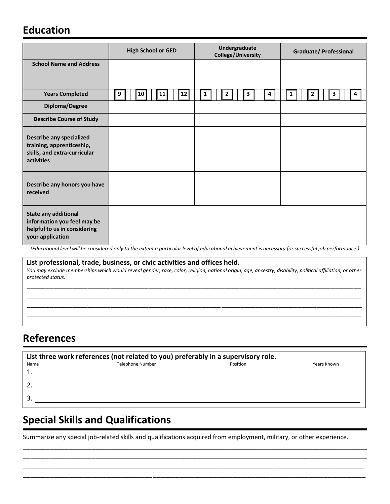#### **Education**

|                                                                                                                | <b>High School or GED</b>                                                                                                                            | Undergraduate<br><b>College/University</b> | <b>Graduate/ Professional</b> |  |  |  |
|----------------------------------------------------------------------------------------------------------------|------------------------------------------------------------------------------------------------------------------------------------------------------|--------------------------------------------|-------------------------------|--|--|--|
| <b>School Name and Address</b>                                                                                 |                                                                                                                                                      |                                            |                               |  |  |  |
| <b>Years Completed</b>                                                                                         | 12<br>9<br>10<br>11                                                                                                                                  | 2<br>3<br>1                                | 3<br>1<br>4                   |  |  |  |
| Diploma/Degree                                                                                                 |                                                                                                                                                      |                                            |                               |  |  |  |
| <b>Describe Course of Study</b>                                                                                |                                                                                                                                                      |                                            |                               |  |  |  |
| <b>Describe any specialized</b><br>training, apprenticeship,<br>skills, and extra-curricular<br>activities     |                                                                                                                                                      |                                            |                               |  |  |  |
| Describe any honors you have<br>received                                                                       |                                                                                                                                                      |                                            |                               |  |  |  |
| <b>State any additional</b><br>information you feel may be<br>helpful to us in considering<br>your application | (Educational level will be considered only to the extent a particular level of educational achievement is necessary for successful job performance.) |                                            |                               |  |  |  |

**List professional, trade, business, or civic activities and offices held.**  *You may exclude memberships which would reveal gender, race, color, religion, national origin, age, ancestry, disability, political affiliation, or other protected status.* 

\_\_\_\_\_\_\_\_\_\_\_\_\_\_\_\_\_\_\_\_\_\_\_\_\_\_\_\_\_\_\_\_\_\_\_\_\_\_\_\_\_\_\_\_\_\_\_\_\_\_\_\_\_\_\_\_\_\_\_\_\_\_\_\_\_\_\_\_\_\_\_\_\_\_\_\_\_\_\_\_\_\_\_\_\_\_\_\_ \_\_\_\_\_\_\_\_\_\_\_\_\_\_\_\_\_\_\_\_\_\_\_\_\_\_\_\_\_\_\_\_\_\_\_\_\_\_\_\_\_\_\_\_\_\_\_\_\_\_\_\_\_\_\_\_\_\_\_\_\_\_\_\_\_\_\_\_\_\_\_\_\_\_\_\_\_\_\_\_\_\_\_\_\_\_\_\_ \_\_\_\_\_\_\_\_\_\_\_\_\_\_\_\_\_\_\_\_\_\_\_\_\_\_\_\_\_\_\_\_\_\_\_\_\_\_\_\_\_\_\_\_\_\_\_\_\_\_\_ \_\_\_\_\_\_\_\_\_\_\_\_\_\_\_\_\_\_\_\_\_\_\_\_\_\_\_\_\_\_\_\_\_\_\_\_\_ \_\_\_\_\_\_\_\_\_\_\_\_\_\_\_\_\_\_\_\_\_\_\_\_\_\_\_\_\_\_\_\_\_\_\_\_\_\_\_\_\_\_\_\_\_\_\_\_\_\_\_\_\_\_\_\_\_\_\_\_\_\_\_\_\_\_\_\_\_\_\_\_\_\_\_\_\_\_\_\_\_\_\_\_\_\_\_\_

#### **References**

| List three work references (not related to you) preferably in a supervisory role. |                         |          |             |  |  |
|-----------------------------------------------------------------------------------|-------------------------|----------|-------------|--|--|
| Name                                                                              | <b>Telephone Number</b> | Position | Years Known |  |  |
|                                                                                   |                         |          |             |  |  |
|                                                                                   |                         |          |             |  |  |
|                                                                                   |                         |          |             |  |  |
|                                                                                   |                         |          |             |  |  |
|                                                                                   |                         |          |             |  |  |

## **Special Skills and Qualifications**

Summarize any special job-related skills and qualifications acquired from employment, military, or other experience.

\_\_\_\_\_\_\_\_\_\_\_\_\_\_\_\_\_\_\_\_\_\_\_\_\_\_\_\_\_\_\_\_\_\_\_\_\_\_\_\_\_\_\_\_\_\_\_\_\_\_\_\_\_\_\_\_\_\_\_\_\_\_\_\_\_\_\_\_\_\_\_\_\_\_\_\_\_\_\_\_\_\_\_\_\_\_\_\_\_\_\_\_\_ \_\_\_\_\_\_\_\_\_\_\_\_\_\_\_\_\_\_\_\_\_\_\_\_\_\_\_\_\_\_\_\_\_\_\_\_\_\_\_\_\_\_\_\_\_\_\_\_\_\_\_\_\_\_\_\_\_\_\_\_\_\_\_\_\_\_\_\_\_\_\_\_\_\_\_\_\_\_\_\_\_\_\_\_\_\_\_\_\_\_\_\_\_ \_\_\_\_\_\_\_\_\_\_\_\_\_\_\_\_\_\_\_\_\_\_\_\_\_\_\_\_\_\_\_\_\_\_\_\_\_\_\_\_\_\_\_\_\_\_\_\_\_\_\_\_\_\_\_\_\_\_\_\_\_\_\_\_\_\_\_\_\_\_\_\_\_\_\_\_\_\_\_\_\_\_\_\_\_\_\_\_\_\_ \_\_\_\_\_\_\_\_\_\_\_\_\_\_\_\_\_\_\_\_\_\_\_\_\_\_\_\_\_\_\_\_\_\_\_\_\_\_\_\_\_\_\_\_\_\_\_\_\_\_\_\_\_\_\_\_\_\_\_\_\_\_\_\_\_\_\_\_\_\_\_\_\_\_\_\_\_\_\_\_\_\_\_\_\_\_\_\_\_\_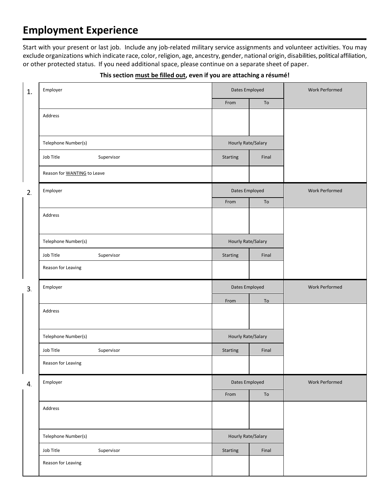### **Employment Experience**

Start with your present or last job. Include any job-related military service assignments and volunteer activities. You may exclude organizations which indicate race, color, religion, age, ancestry, gender, national origin, disabilities, political affiliation, or other protected status. If you need additional space, please continue on a separate sheet of paper.

| 1. | Employer                           | Dates Employed            |       | Work Performed        |  |
|----|------------------------------------|---------------------------|-------|-----------------------|--|
|    |                                    | From                      | To    |                       |  |
|    | Address                            |                           |       |                       |  |
|    | Telephone Number(s)                | Hourly Rate/Salary        |       |                       |  |
|    | Job Title<br>Supervisor            | Starting                  | Final |                       |  |
|    | Reason for <b>WANTING</b> to Leave |                           |       |                       |  |
| 2. | Employer                           | Dates Employed            |       | Work Performed        |  |
|    |                                    | From                      | To    |                       |  |
|    | Address                            |                           |       |                       |  |
|    | Telephone Number(s)                | Hourly Rate/Salary        |       |                       |  |
|    | Job Title<br>Supervisor            | Starting                  | Final |                       |  |
|    | Reason for Leaving                 |                           |       |                       |  |
|    |                                    | Dates Employed            |       |                       |  |
| 3. | Employer                           |                           |       | <b>Work Performed</b> |  |
|    |                                    | From                      | To    |                       |  |
|    | Address                            |                           |       |                       |  |
|    | Telephone Number(s)                | <b>Hourly Rate/Salary</b> |       |                       |  |
|    | Job Title<br>Supervisor            | Starting                  | Final |                       |  |
|    | Reason for Leaving                 |                           |       |                       |  |
| 4. | Employer                           | Dates Employed            |       | <b>Work Performed</b> |  |
|    |                                    | From                      | To    |                       |  |
|    | Address                            |                           |       |                       |  |
|    | Telephone Number(s)                | Hourly Rate/Salary        |       |                       |  |
|    | Job Title<br>Supervisor            | Starting                  | Final |                       |  |

#### **This section must be filled out, even if you are attaching a résumé!**